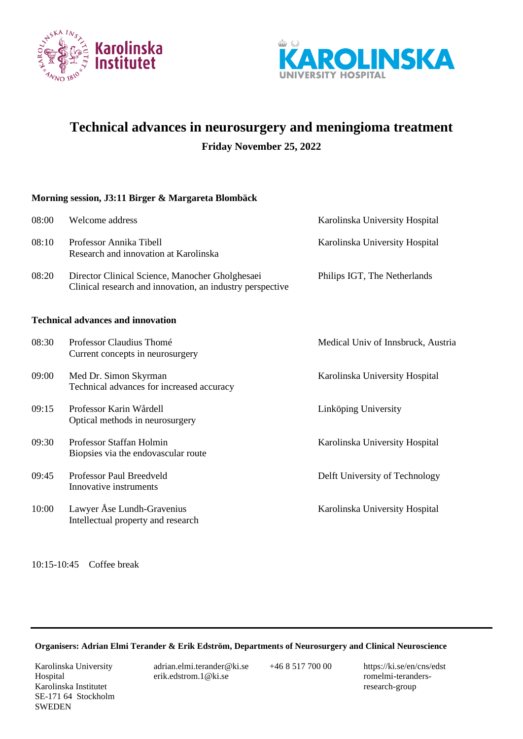



# **Technical advances in neurosurgery and meningioma treatment**

**Friday November 25, 2022**

## **Morning session, J3:11 Birger & Margareta Blombäck**

| 08:00 | Welcome address                                                                                              | Karolinska University Hospital     |
|-------|--------------------------------------------------------------------------------------------------------------|------------------------------------|
| 08:10 | Professor Annika Tibell<br>Research and innovation at Karolinska                                             | Karolinska University Hospital     |
| 08:20 | Director Clinical Science, Manocher Gholghesaei<br>Clinical research and innovation, an industry perspective | Philips IGT, The Netherlands       |
|       | <b>Technical advances and innovation</b>                                                                     |                                    |
| 08:30 | Professor Claudius Thomé<br>Current concepts in neurosurgery                                                 | Medical Univ of Innsbruck, Austria |
| 09:00 | Med Dr. Simon Skyrman<br>Technical advances for increased accuracy                                           | Karolinska University Hospital     |
| 09:15 | Professor Karin Wårdell<br>Optical methods in neurosurgery                                                   | Linköping University               |
| 09:30 | Professor Staffan Holmin<br>Biopsies via the endovascular route                                              | Karolinska University Hospital     |
| 09:45 | Professor Paul Breedveld<br>Innovative instruments                                                           | Delft University of Technology     |
| 10:00 | Lawyer Åse Lundh-Gravenius<br>Intellectual property and research                                             | Karolinska University Hospital     |

10:15-10:45 Coffee break

#### **Organisers: Adrian Elmi Terander & Erik Edström, Departments of Neurosurgery and Clinical Neuroscience**

Karolinska University Hospital Karolinska Institutet SE-171 64 Stockholm **SWEDEN** 

adrian.elmi.terander@ki.se erik.edstrom.1@ki.se

+46 8 517 700 00 https://ki.se/en/cns/edst romelmi-terandersresearch-group